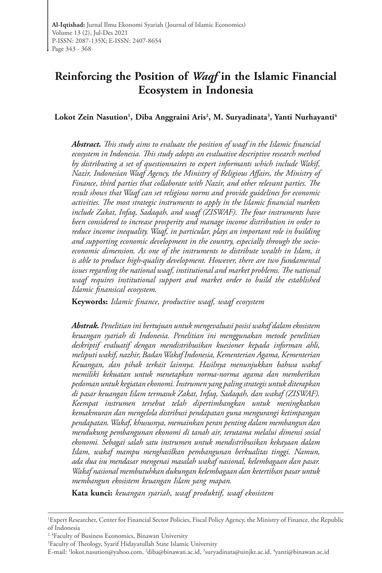# **Reinforcing the Position of** *Waqf* **in the Islamic Financial Ecosystem in Indonesia**

Lokot Zein Nasution<sup>1</sup>, Diba Anggraini Aris<sup>2</sup>, M. Suryadinata<sup>3</sup>, Yanti Nurhayanti<sup>4</sup>

*Abstract. This study aims to evaluate the position of waqf in the Islamic financial ecosystem in Indonesia. This study adopts an evaluative descriptive research method by distributing a set of questionnaires to expert informants which include Wakif, Nazir, Indonesian Waqf Agency, the Ministry of Religious Affairs, the Ministry of Finance, third parties that collaborate with Nazir, and other relevant parties. The result shows that Waqf can set religious norms and provide guidelines for economic activities. The most strategic instruments to apply in the Islamic financial markets include Zakat, Infaq, Sadaqah, and waqf (ZISWAF). The four instruments have been considered to increase prosperity and manage income distribution in order to reduce income inequality. Waqf, in particular, plays an important role in building and supporting economic development in the country, especially through the socioeconomic dimension. As one of the instruments to distribute wealth in Islam, it is able to produce high-quality development. However, there are two fundamental issues regarding the national waqf, institutional and market problems. The national waqf requires institutional support and market order to build the established Islamic finansical ecosystem.*

**Keywords:** *Islamic finance, productive waqf, waqf ecosystem*

*Abstrak. Penelitian ini bertujuan untuk mengevaluasi posisi wakaf dalam ekosistem keuangan syariah di Indonesia. Penelitian ini menggunakan metode penelitian deskriptif evaluatif dengan mendistribusikan kuesioner kepada informan ahli, meliputi wakif, nazhir, Badan Wakaf Indonesia, Kementerian Agama, Kementerian Keuangan, dan pihak terkait lainnya. Hasilnya menunjukkan bahwa wakaf memiliki kekuatan untuk menetapkan norma-norma agama dan memberikan pedoman untuk kegiatan ekonomi. Instrumen yang paling strategis untuk diterapkan di pasar keuangan Islam termasuk Zakat, Infaq, Sadaqah, dan wakaf (ZISWAF). Keempat instrumen tersebut telah dipertimbangkan untuk meningkatkan kemakmuran dan mengelola distribusi pendapatan guna mengurangi ketimpangan pendapatan. Wakaf, khususnya, memainkan peran penting dalam membangun dan mendukung pembangunan ekonomi di tanah air, terutama melalui dimensi sosial ekonomi. Sebagai salah satu instrumen untuk mendistribusikan kekayaan dalam Islam, wakaf mampu menghasilkan pembangunan berkualitas tinggi. Namun, ada dua isu mendasar mengenai masalah wakaf nasional, kelembagaan dan pasar. Wakaf nasional membutuhkan dukungan kelembagaan dan ketertiban pasar untuk membangun ekosistem keuangan Islam yang mapan.*

**Kata kunci:** *keuangan syariah, waqf produktif, waqf ekosistem*

<sup>1</sup> Expert Researcher, Center for Financial Sector Policies, Fiscal Policy Agency, the Ministry of Finance, the Republic of Indonesia

<sup>&</sup>lt;sup>2, 4</sup>Faculty of Business Economics, Binawan University

<sup>3</sup> Faculty of Theology, Syarif Hidayatullah State Islamic University

E-mail: <sup>1</sup>[lokot.nasution@yahoo.com,](mailto:lokot.nasution%40yahoo.com?subject=) <sup>2</sup>[diba@binawan.ac.id](mailto:diba%40binawan.ac.id?subject=), <sup>3</sup>[suryadinata@uinjkt.ac.id](mailto:suryadinata%40uinjkt.ac.id?subject=), <sup>4</sup>[yanti@binawan.ac.id](mailto:yanti%40binawan.ac.id?subject=)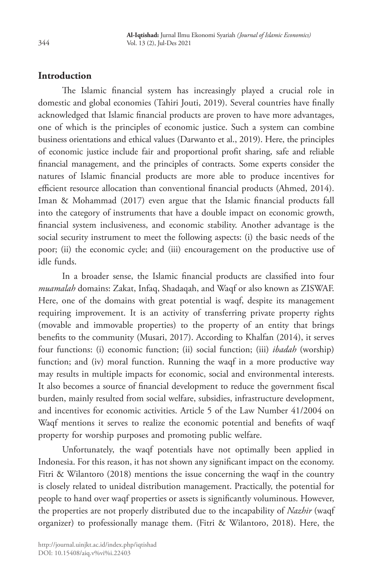## **Introduction**

The Islamic financial system has increasingly played a crucial role in domestic and global economies (Tahiri Jouti, 2019). Several countries have finally acknowledged that Islamic financial products are proven to have more advantages, one of which is the principles of economic justice. Such a system can combine business orientations and ethical values (Darwanto et al., 2019). Here, the principles of economic justice include fair and proportional profit sharing, safe and reliable financial management, and the principles of contracts. Some experts consider the natures of Islamic financial products are more able to produce incentives for efficient resource allocation than conventional financial products (Ahmed, 2014). Iman & Mohammad (2017) even argue that the Islamic financial products fall into the category of instruments that have a double impact on economic growth, financial system inclusiveness, and economic stability. Another advantage is the social security instrument to meet the following aspects: (i) the basic needs of the poor; (ii) the economic cycle; and (iii) encouragement on the productive use of idle funds.

In a broader sense, the Islamic financial products are classified into four *muamalah* domains: Zakat, Infaq, Shadaqah, and Waqf or also known as ZISWAF. Here, one of the domains with great potential is waqf, despite its management requiring improvement. It is an activity of transferring private property rights (movable and immovable properties) to the property of an entity that brings benefits to the community (Musari, 2017). According to Khalfan (2014), it serves four functions: (i) economic function; (ii) social function; (iii) *ibadah* (worship) function; and (iv) moral function. Running the waqf in a more productive way may results in multiple impacts for economic, social and environmental interests. It also becomes a source of financial development to reduce the government fiscal burden, mainly resulted from social welfare, subsidies, infrastructure development, and incentives for economic activities. Article 5 of the Law Number 41/2004 on Waqf mentions it serves to realize the economic potential and benefits of waqf property for worship purposes and promoting public welfare.

Unfortunately, the waqf potentials have not optimally been applied in Indonesia. For this reason, it has not shown any significant impact on the economy. Fitri & Wilantoro (2018) mentions the issue concerning the waqf in the country is closely related to unideal distribution management. Practically, the potential for people to hand over waqf properties or assets is significantly voluminous. However, the properties are not properly distributed due to the incapability of *Nazhir* (waqf organizer) to professionally manage them. (Fitri & Wilantoro, 2018). Here, the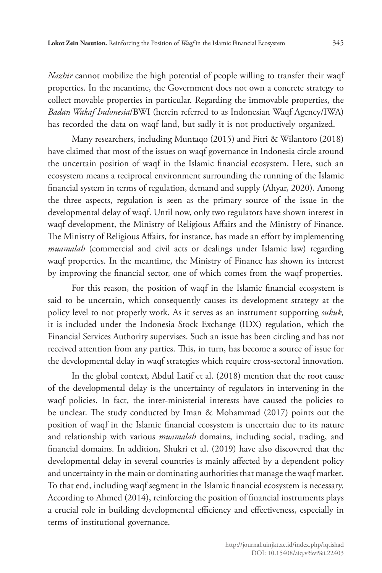*Nazhir* cannot mobilize the high potential of people willing to transfer their waqf properties. In the meantime, the Government does not own a concrete strategy to collect movable properties in particular. Regarding the immovable properties, the *Badan Wakaf Indonesia*/BWI (herein referred to as Indonesian Waqf Agency/IWA) has recorded the data on waqf land, but sadly it is not productively organized.

Many researchers, including Muntaqo (2015) and Fitri & Wilantoro (2018) have claimed that most of the issues on waqf governance in Indonesia circle around the uncertain position of waqf in the Islamic financial ecosystem. Here, such an ecosystem means a reciprocal environment surrounding the running of the Islamic financial system in terms of regulation, demand and supply (Ahyar, 2020). Among the three aspects, regulation is seen as the primary source of the issue in the developmental delay of waqf. Until now, only two regulators have shown interest in waqf development, the Ministry of Religious Affairs and the Ministry of Finance. The Ministry of Religious Affairs, for instance, has made an effort by implementing *muamalah* (commercial and civil acts or dealings under Islamic law) regarding waqf properties. In the meantime, the Ministry of Finance has shown its interest by improving the financial sector, one of which comes from the waqf properties.

For this reason, the position of waqf in the Islamic financial ecosystem is said to be uncertain, which consequently causes its development strategy at the policy level to not properly work. As it serves as an instrument supporting *sukuk,* it is included under the Indonesia Stock Exchange (IDX) regulation, which the Financial Services Authority supervises. Such an issue has been circling and has not received attention from any parties. This, in turn, has become a source of issue for the developmental delay in waqf strategies which require cross-sectoral innovation.

In the global context, Abdul Latif et al. (2018) mention that the root cause of the developmental delay is the uncertainty of regulators in intervening in the waqf policies. In fact, the inter-ministerial interests have caused the policies to be unclear. The study conducted by Iman & Mohammad (2017) points out the position of waqf in the Islamic financial ecosystem is uncertain due to its nature and relationship with various *muamalah* domains, including social, trading, and financial domains. In addition, Shukri et al. (2019) have also discovered that the developmental delay in several countries is mainly affected by a dependent policy and uncertainty in the main or dominating authorities that manage the waqf market. To that end, including waqf segment in the Islamic financial ecosystem is necessary. According to Ahmed (2014), reinforcing the position of financial instruments plays a crucial role in building developmental efficiency and effectiveness, especially in terms of institutional governance.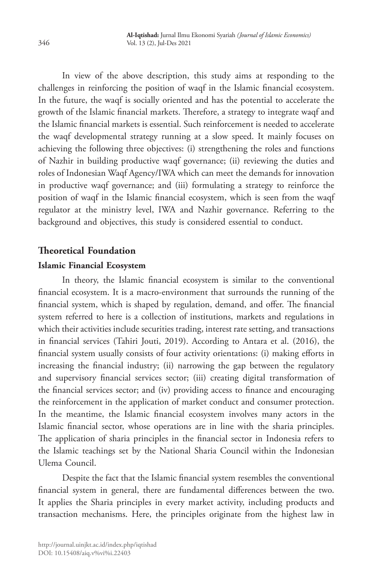In view of the above description, this study aims at responding to the challenges in reinforcing the position of waqf in the Islamic financial ecosystem. In the future, the waqf is socially oriented and has the potential to accelerate the growth of the Islamic financial markets. Therefore, a strategy to integrate waqf and the Islamic financial markets is essential. Such reinforcement is needed to accelerate the waqf developmental strategy running at a slow speed. It mainly focuses on achieving the following three objectives: (i) strengthening the roles and functions of Nazhir in building productive waqf governance; (ii) reviewing the duties and roles of Indonesian Waqf Agency/IWA which can meet the demands for innovation in productive waqf governance; and (iii) formulating a strategy to reinforce the position of waqf in the Islamic financial ecosystem, which is seen from the waqf regulator at the ministry level, IWA and Nazhir governance. Referring to the background and objectives, this study is considered essential to conduct.

## **Theoretical Foundation**

### **Islamic Financial Ecosystem**

In theory, the Islamic financial ecosystem is similar to the conventional financial ecosystem. It is a macro-environment that surrounds the running of the financial system, which is shaped by regulation, demand, and offer. The financial system referred to here is a collection of institutions, markets and regulations in which their activities include securities trading, interest rate setting, and transactions in financial services (Tahiri Jouti, 2019). According to Antara et al. (2016), the financial system usually consists of four activity orientations: (i) making efforts in increasing the financial industry; (ii) narrowing the gap between the regulatory and supervisory financial services sector; (iii) creating digital transformation of the financial services sector; and (iv) providing access to finance and encouraging the reinforcement in the application of market conduct and consumer protection. In the meantime, the Islamic financial ecosystem involves many actors in the Islamic financial sector, whose operations are in line with the sharia principles. The application of sharia principles in the financial sector in Indonesia refers to the Islamic teachings set by the National Sharia Council within the Indonesian Ulema Council.

Despite the fact that the Islamic financial system resembles the conventional financial system in general, there are fundamental differences between the two. It applies the Sharia principles in every market activity, including products and transaction mechanisms. Here, the principles originate from the highest law in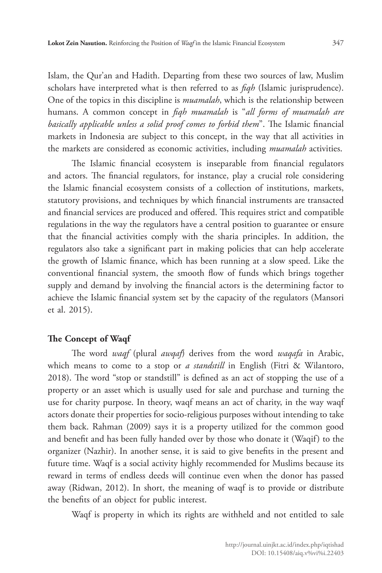Islam, the Qur'an and Hadith. Departing from these two sources of law, Muslim scholars have interpreted what is then referred to as *fiqh* (Islamic jurisprudence). One of the topics in this discipline is *muamalah*, which is the relationship between humans. A common concept in *fiqh muamalah* is "*all forms of muamalah are basically applicable unless a solid proof comes to forbid them*". The Islamic financial markets in Indonesia are subject to this concept, in the way that all activities in the markets are considered as economic activities, including *muamalah* activities.

The Islamic financial ecosystem is inseparable from financial regulators and actors. The financial regulators, for instance, play a crucial role considering the Islamic financial ecosystem consists of a collection of institutions, markets, statutory provisions, and techniques by which financial instruments are transacted and financial services are produced and offered. This requires strict and compatible regulations in the way the regulators have a central position to guarantee or ensure that the financial activities comply with the sharia principles. In addition, the regulators also take a significant part in making policies that can help accelerate the growth of Islamic finance, which has been running at a slow speed. Like the conventional financial system, the smooth flow of funds which brings together supply and demand by involving the financial actors is the determining factor to achieve the Islamic financial system set by the capacity of the regulators (Mansori et al. 2015).

#### **The Concept of Waqf**

The word *waqf* (plural *awqaf*) derives from the word *waqafa* in Arabic, which means to come to a stop or *a standstill* in English (Fitri & Wilantoro, 2018). The word "stop or standstill" is defined as an act of stopping the use of a property or an asset which is usually used for sale and purchase and turning the use for charity purpose. In theory, waqf means an act of charity, in the way waqf actors donate their properties for socio-religious purposes without intending to take them back. Rahman (2009) says it is a property utilized for the common good and benefit and has been fully handed over by those who donate it (Waqif) to the organizer (Nazhir). In another sense, it is said to give benefits in the present and future time. Waqf is a social activity highly recommended for Muslims because its reward in terms of endless deeds will continue even when the donor has passed away (Ridwan, 2012). In short, the meaning of waqf is to provide or distribute the benefits of an object for public interest.

Waqf is property in which its rights are withheld and not entitled to sale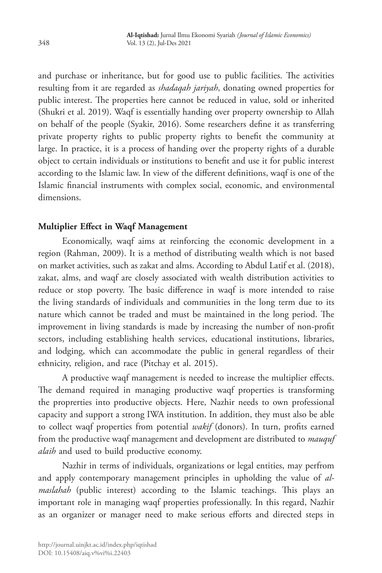and purchase or inheritance, but for good use to public facilities. The activities resulting from it are regarded as *shadaqah jariyah*, donating owned properties for public interest. The properties here cannot be reduced in value, sold or inherited (Shukri et al. 2019). Waqf is essentially handing over property ownership to Allah on behalf of the people (Syakir, 2016). Some researchers define it as transferring private property rights to public property rights to benefit the community at large. In practice, it is a process of handing over the property rights of a durable object to certain individuals or institutions to benefit and use it for public interest according to the Islamic law. In view of the different definitions, waqf is one of the Islamic financial instruments with complex social, economic, and environmental dimensions.

### **Multiplier Effect in Waqf Management**

Economically, waqf aims at reinforcing the economic development in a region (Rahman, 2009). It is a method of distributing wealth which is not based on market activities, such as zakat and alms. According to Abdul Latif et al. (2018), zakat, alms, and waqf are closely associated with wealth distribution activities to reduce or stop poverty. The basic difference in waqf is more intended to raise the living standards of individuals and communities in the long term due to its nature which cannot be traded and must be maintained in the long period. The improvement in living standards is made by increasing the number of non-profit sectors, including establishing health services, educational institutions, libraries, and lodging, which can accommodate the public in general regardless of their ethnicity, religion, and race (Pitchay et al. 2015).

A productive waqf management is needed to increase the multiplier effects. The demand required in managing productive waqf properties is transforming the proprerties into productive objects. Here, Nazhir needs to own professional capacity and support a strong IWA institution. In addition, they must also be able to collect waqf properties from potential *wakif* (donors). In turn, profits earned from the productive waqf management and development are distributed to *mauquf alaih* and used to build productive economy.

Nazhir in terms of individuals, organizations or legal entities, may perfrom and apply contemporary management principles in upholding the value of *almaslahah* (public interest) according to the Islamic teachings. This plays an important role in managing waqf properties professionally. In this regard, Nazhir as an organizer or manager need to make serious efforts and directed steps in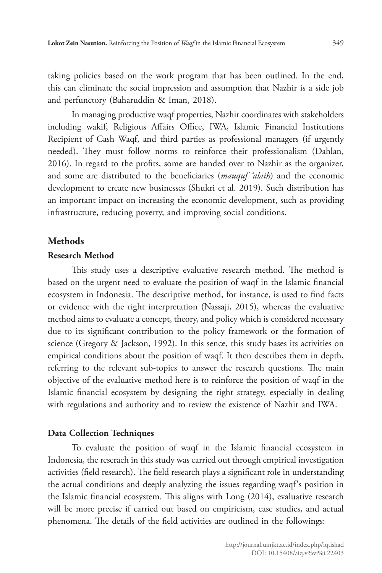taking policies based on the work program that has been outlined. In the end, this can eliminate the social impression and assumption that Nazhir is a side job and perfunctory (Baharuddin & Iman, 2018).

In managing productive waqf properties, Nazhir coordinates with stakeholders including wakif, Religious Affairs Office, IWA, Islamic Financial Institutions Recipient of Cash Waqf, and third parties as professional managers (if urgently needed). They must follow norms to reinforce their professionalism (Dahlan, 2016). In regard to the profits, some are handed over to Nazhir as the organizer, and some are distributed to the beneficiaries (*mauquf 'alaih*) and the economic development to create new businesses (Shukri et al. 2019). Such distribution has an important impact on increasing the economic development, such as providing infrastructure, reducing poverty, and improving social conditions.

### **Methods**

### **Research Method**

This study uses a descriptive evaluative research method. The method is based on the urgent need to evaluate the position of waqf in the Islamic financial ecosystem in Indonesia. The descriptive method, for instance, is used to find facts or evidence with the right interpretation (Nassaji, 2015), whereas the evaluative method aims to evaluate a concept, theory, and policy which is considered necessary due to its significant contribution to the policy framework or the formation of science (Gregory & Jackson, 1992). In this sence, this study bases its activities on empirical conditions about the position of waqf. It then describes them in depth, referring to the relevant sub-topics to answer the research questions. The main objective of the evaluative method here is to reinforce the position of waqf in the Islamic financial ecosystem by designing the right strategy, especially in dealing with regulations and authority and to review the existence of Nazhir and IWA.

### **Data Collection Techniques**

To evaluate the position of waqf in the Islamic financial ecosystem in Indonesia, the reserach in this study was carried out through empirical investigation activities (field research). The field research plays a significant role in understanding the actual conditions and deeply analyzing the issues regarding waqf's position in the Islamic financial ecosystem. This aligns with Long (2014), evaluative research will be more precise if carried out based on empiricism, case studies, and actual phenomena. The details of the field activities are outlined in the followings: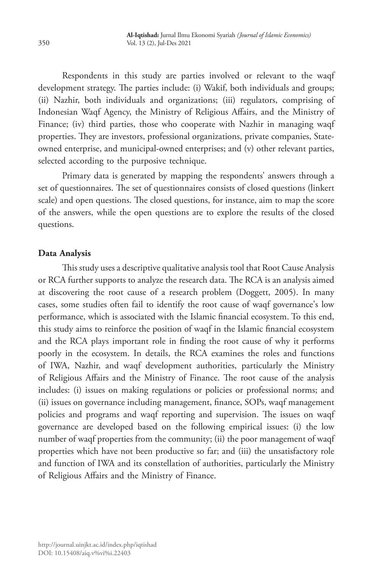Respondents in this study are parties involved or relevant to the waqf development strategy. The parties include: (i) Wakif, both individuals and groups; (ii) Nazhir, both individuals and organizations; (iii) regulators, comprising of Indonesian Waqf Agency, the Ministry of Religious Affairs, and the Ministry of Finance; (iv) third parties, those who cooperate with Nazhir in managing waqf properties. They are investors, professional organizations, private companies, Stateowned enterprise, and municipal-owned enterprises; and (v) other relevant parties, selected according to the purposive technique.

Primary data is generated by mapping the respondents' answers through a set of questionnaires. The set of questionnaires consists of closed questions (linkert scale) and open questions. The closed questions, for instance, aim to map the score of the answers, while the open questions are to explore the results of the closed questions.

### **Data Analysis**

This study uses a descriptive qualitative analysis tool that Root Cause Analysis or RCA further supports to analyze the research data. The RCA is an analysis aimed at discovering the root cause of a research problem (Doggett, 2005). In many cases, some studies often fail to identify the root cause of waqf governance's low performance, which is associated with the Islamic financial ecosystem. To this end, this study aims to reinforce the position of waqf in the Islamic financial ecosystem and the RCA plays important role in finding the root cause of why it performs poorly in the ecosystem. In details, the RCA examines the roles and functions of IWA, Nazhir, and waqf development authorities, particularly the Ministry of Religious Affairs and the Ministry of Finance. The root cause of the analysis includes: (i) issues on making regulations or policies or professional norms; and (ii) issues on governance including management, finance, SOPs, waqf management policies and programs and waqf reporting and supervision. The issues on waqf governance are developed based on the following empirical issues: (i) the low number of waqf properties from the community; (ii) the poor management of waqf properties which have not been productive so far; and (iii) the unsatisfactory role and function of IWA and its constellation of authorities, particularly the Ministry of Religious Affairs and the Ministry of Finance.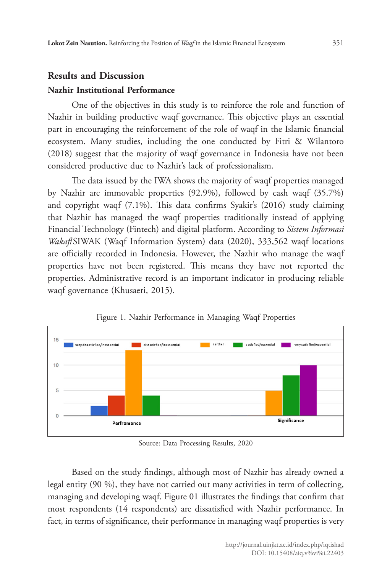## **Results and Discussion Nazhir Institutional Performance**

One of the objectives in this study is to reinforce the role and function of Nazhir in building productive waqf governance. This objective plays an essential part in encouraging the reinforcement of the role of waqf in the Islamic financial ecosystem. Many studies, including the one conducted by Fitri & Wilantoro (2018) suggest that the majority of waqf governance in Indonesia have not been considered productive due to Nazhir's lack of professionalism.

The data issued by the IWA shows the majority of waqf properties managed by Nazhir are immovable properties (92.9%), followed by cash waqf (35.7%) and copyright waqf (7.1%). This data confirms Syakir's (2016) study claiming that Nazhir has managed the waqf properties traditionally instead of applying Financial Technology (Fintech) and digital platform. According to *Sistem Informasi Wakaf*/SIWAK (Waqf Information System) data (2020), 333,562 waqf locations are officially recorded in Indonesia. However, the Nazhir who manage the waqf properties have not been registered. This means they have not reported the properties. Administrative record is an important indicator in producing reliable waqf governance (Khusaeri, 2015).



Figure 1. Nazhir Performance in Managing Waqf Properties

Source: Data Processing Results, 2020

Based on the study findings, although most of Nazhir has already owned a legal entity (90 %), they have not carried out many activities in term of collecting, managing and developing waqf. Figure 01 illustrates the findings that confirm that most respondents (14 respondents) are dissatisfied with Nazhir performance. In fact, in terms of significance, their performance in managing waqf properties is very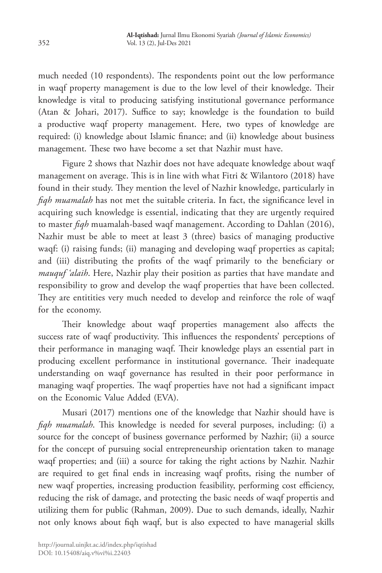much needed (10 respondents). The respondents point out the low performance in waqf property management is due to the low level of their knowledge. Their knowledge is vital to producing satisfying institutional governance performance (Atan & Johari, 2017). Suffice to say; knowledge is the foundation to build a productive waqf property management. Here, two types of knowledge are required: (i) knowledge about Islamic finance; and (ii) knowledge about business management. These two have become a set that Nazhir must have.

Figure 2 shows that Nazhir does not have adequate knowledge about waqf management on average. This is in line with what Fitri & Wilantoro (2018) have found in their study. They mention the level of Nazhir knowledge, particularly in *fiqh muamalah* has not met the suitable criteria. In fact, the significance level in acquiring such knowledge is essential, indicating that they are urgently required to master *fiqh* muamalah-based waqf management. According to Dahlan (2016), Nazhir must be able to meet at least 3 (three) basics of managing productive waqf: (i) raising funds; (ii) managing and developing waqf properties as capital; and (iii) distributing the profits of the waqf primarily to the beneficiary or *mauquf 'alaih*. Here, Nazhir play their position as parties that have mandate and responsibility to grow and develop the waqf properties that have been collected. They are entitities very much needed to develop and reinforce the role of waqf for the economy.

Their knowledge about waqf properties management also affects the success rate of waqf productivity. This influences the respondents' perceptions of their performance in managing waqf. Their knowledge plays an essential part in producing excellent performance in institutional governance. Their inadequate understanding on waqf governance has resulted in their poor performance in managing waqf properties. The waqf properties have not had a significant impact on the Economic Value Added (EVA).

Musari (2017) mentions one of the knowledge that Nazhir should have is *fiqh muamalah*. This knowledge is needed for several purposes, including: (i) a source for the concept of business governance performed by Nazhir; (ii) a source for the concept of pursuing social entrepreneurship orientation taken to manage waqf properties; and (iii) a source for taking the right actions by Nazhir. Nazhir are required to get final ends in increasing waqf profits, rising the number of new waqf properties, increasing production feasibility, performing cost efficiency, reducing the risk of damage, and protecting the basic needs of waqf propertis and utilizing them for public (Rahman, 2009). Due to such demands, ideally, Nazhir not only knows about fiqh waqf, but is also expected to have managerial skills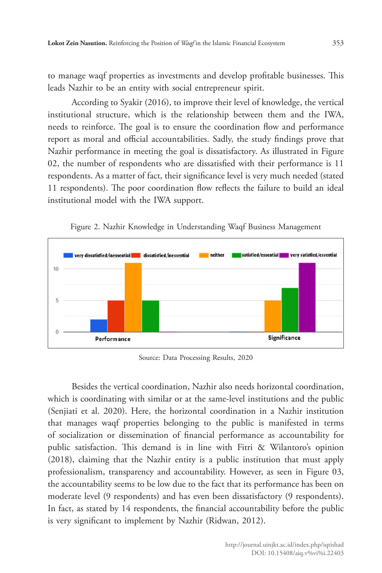to manage waqf properties as investments and develop profitable businesses. This leads Nazhir to be an entity with social entrepreneur spirit.

According to Syakir (2016), to improve their level of knowledge, the vertical institutional structure, which is the relationship between them and the IWA, needs to reinforce. The goal is to ensure the coordination flow and performance report as moral and official accountabilities. Sadly, the study findings prove that Nazhir performance in meeting the goal is dissatisfactory. As illustrated in Figure 02, the number of respondents who are dissatisfied with their performance is 11 respondents. As a matter of fact, their significance level is very much needed (stated 11 respondents). The poor coordination flow reflects the failure to build an ideal institutional model with the IWA support.



Figure 2. Nazhir Knowledge in Understanding Waqf Business Management

Source: Data Processing Results, 2020

Besides the vertical coordination, Nazhir also needs horizontal coordination, which is coordinating with similar or at the same-level institutions and the public (Senjiati et al. 2020). Here, the horizontal coordination in a Nazhir institution that manages waqf properties belonging to the public is manifested in terms of socialization or dissemination of financial performance as accountability for public satisfaction. This demand is in line with Fitri & Wilantoro's opinion (2018), claiming that the Nazhir entity is a public institution that must apply professionalism, transparency and accountability. However, as seen in Figure 03, the accountability seems to be low due to the fact that its performance has been on moderate level (9 respondents) and has even been dissatisfactory (9 respondents). In fact, as stated by 14 respondents, the financial accountability before the public is very significant to implement by Nazhir (Ridwan, 2012).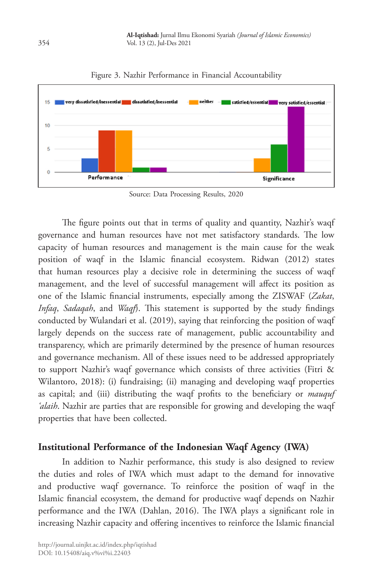

Figure 3. Nazhir Performance in Financial Accountability

Source: Data Processing Results, 2020

The figure points out that in terms of quality and quantity, Nazhir's waqf governance and human resources have not met satisfactory standards. The low capacity of human resources and management is the main cause for the weak position of waqf in the Islamic financial ecosystem. Ridwan (2012) states that human resources play a decisive role in determining the success of waqf management, and the level of successful management will affect its position as one of the Islamic financial instruments, especially among the ZISWAF (*Zakat*, *Infaq*, *Sadaqah*, and *Waqf*). This statement is supported by the study findings conducted by Wulandari et al. (2019), saying that reinforcing the position of waqf largely depends on the success rate of management, public accountability and transparency, which are primarily determined by the presence of human resources and governance mechanism. All of these issues need to be addressed appropriately to support Nazhir's waqf governance which consists of three activities (Fitri & Wilantoro, 2018): (i) fundraising; (ii) managing and developing waqf properties as capital; and (iii) distributing the waqf profits to the beneficiary or *mauquf 'alaih*. Nazhir are parties that are responsible for growing and developing the waqf properties that have been collected.

## **Institutional Performance of the Indonesian Waqf Agency (IWA)**

In addition to Nazhir performance, this study is also designed to review the duties and roles of IWA which must adapt to the demand for innovative and productive waqf governance. To reinforce the position of waqf in the Islamic financial ecosystem, the demand for productive waqf depends on Nazhir performance and the IWA (Dahlan, 2016). The IWA plays a significant role in increasing Nazhir capacity and offering incentives to reinforce the Islamic financial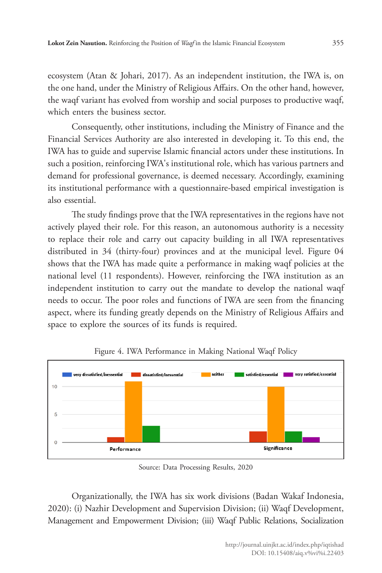ecosystem (Atan & Johari, 2017). As an independent institution, the IWA is, on the one hand, under the Ministry of Religious Affairs. On the other hand, however, the waqf variant has evolved from worship and social purposes to productive waqf, which enters the business sector.

Consequently, other institutions, including the Ministry of Finance and the Financial Services Authority are also interested in developing it. To this end, the IWA has to guide and supervise Islamic financial actors under these institutions. In such a position, reinforcing IWA's institutional role, which has various partners and demand for professional governance, is deemed necessary. Accordingly, examining its institutional performance with a questionnaire-based empirical investigation is also essential.

The study findings prove that the IWA representatives in the regions have not actively played their role. For this reason, an autonomous authority is a necessity to replace their role and carry out capacity building in all IWA representatives distributed in 34 (thirty-four) provinces and at the municipal level. Figure 04 shows that the IWA has made quite a performance in making waqf policies at the national level (11 respondents). However, reinforcing the IWA institution as an independent institution to carry out the mandate to develop the national waqf needs to occur. The poor roles and functions of IWA are seen from the financing aspect, where its funding greatly depends on the Ministry of Religious Affairs and space to explore the sources of its funds is required.



Figure 4. IWA Performance in Making National Waqf Policy

Source: Data Processing Results, 2020

Organizationally, the IWA has six work divisions (Badan Wakaf Indonesia, 2020): (i) Nazhir Development and Supervision Division; (ii) Waqf Development, Management and Empowerment Division; (iii) Waqf Public Relations, Socialization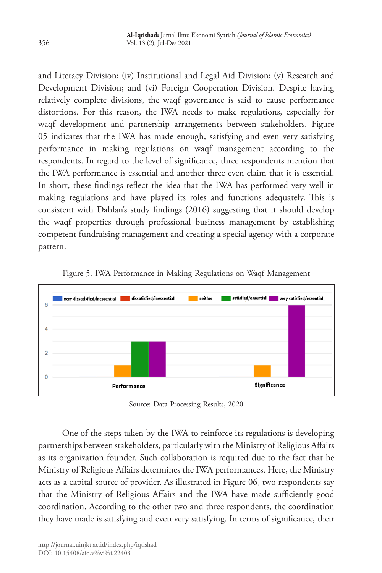and Literacy Division; (iv) Institutional and Legal Aid Division; (v) Research and Development Division; and (vi) Foreign Cooperation Division. Despite having relatively complete divisions, the waqf governance is said to cause performance distortions. For this reason, the IWA needs to make regulations, especially for waqf development and partnership arrangements between stakeholders. Figure 05 indicates that the IWA has made enough, satisfying and even very satisfying performance in making regulations on waqf management according to the respondents. In regard to the level of significance, three respondents mention that the IWA performance is essential and another three even claim that it is essential. In short, these findings reflect the idea that the IWA has performed very well in making regulations and have played its roles and functions adequately. This is consistent with Dahlan's study findings (2016) suggesting that it should develop the waqf properties through professional business management by establishing competent fundraising management and creating a special agency with a corporate pattern.



Figure 5. IWA Performance in Making Regulations on Waqf Management

Source: Data Processing Results, 2020

One of the steps taken by the IWA to reinforce its regulations is developing partnerships between stakeholders, particularly with the Ministry of Religious Affairs as its organization founder. Such collaboration is required due to the fact that he Ministry of Religious Affairs determines the IWA performances. Here, the Ministry acts as a capital source of provider. As illustrated in Figure 06, two respondents say that the Ministry of Religious Affairs and the IWA have made sufficiently good coordination. According to the other two and three respondents, the coordination they have made is satisfying and even very satisfying. In terms of significance, their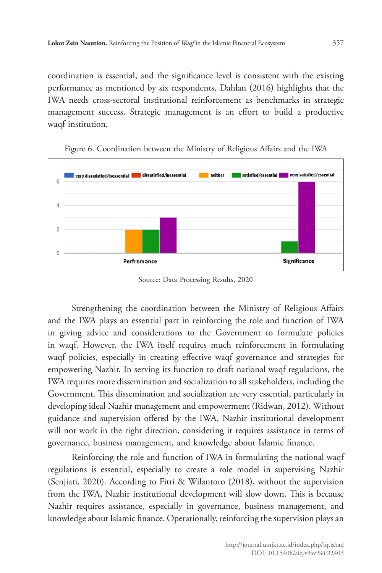coordination is essential, and the significance level is consistent with the existing performance as mentioned by six respondents. Dahlan (2016) highlights that the IWA needs cross-sectoral institutional reinforcement as benchmarks in strategic management success. Strategic management is an effort to build a productive waqf institution.



Figure 6. Coordination between the Ministry of Religious Affairs and the IWA

Source: Data Processing Results, 2020

Strengthening the coordination between the Ministry of Religious Affairs and the IWA plays an essential part in reinforcing the role and function of IWA in giving advice and considerations to the Government to formulate policies in waqf. However, the IWA itself requires much reinforcement in formulating waqf policies, especially in creating effective waqf governance and strategies for empowering Nazhir. In serving its function to draft national waqf regulations, the IWA requires more dissemination and socialization to all stakeholders, including the Government. This dissemination and socialization are very essential, particularly in developing ideal Nazhir management and empowerment (Ridwan, 2012). Without guidance and supervision offered by the IWA, Nazhir institutional development will not work in the right direction, considering it requires assistance in terms of governance, business management, and knowledge about Islamic finance.

Reinforcing the role and function of IWA in formulating the national waqf regulations is essential, especially to create a role model in supervising Nazhir (Senjiati, 2020). According to Fitri & Wilantoro (2018), without the supervision from the IWA, Nazhir institutional development will slow down. This is because Nazhir requires assistance, especially in governance, business management, and knowledge about Islamic finance. Operationally, reinforcing the supervision plays an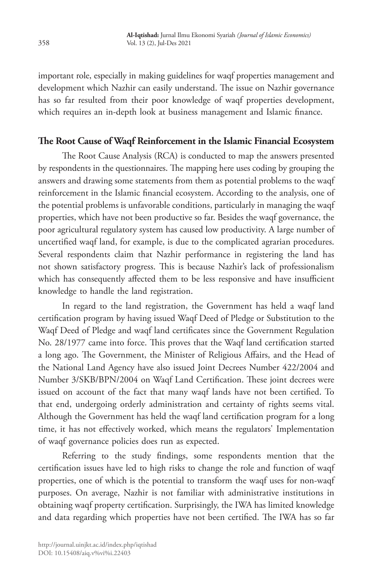important role, especially in making guidelines for waqf properties management and development which Nazhir can easily understand. The issue on Nazhir governance has so far resulted from their poor knowledge of waqf properties development, which requires an in-depth look at business management and Islamic finance.

## **The Root Cause of Waqf Reinforcement in the Islamic Financial Ecosystem**

The Root Cause Analysis (RCA) is conducted to map the answers presented by respondents in the questionnaires. The mapping here uses coding by grouping the answers and drawing some statements from them as potential problems to the waqf reinforcement in the Islamic financial ecosystem. According to the analysis, one of the potential problems is unfavorable conditions, particularly in managing the waqf properties, which have not been productive so far. Besides the waqf governance, the poor agricultural regulatory system has caused low productivity. A large number of uncertified waqf land, for example, is due to the complicated agrarian procedures. Several respondents claim that Nazhir performance in registering the land has not shown satisfactory progress. This is because Nazhir's lack of professionalism which has consequently affected them to be less responsive and have insufficient knowledge to handle the land registration.

In regard to the land registration, the Government has held a waqf land certification program by having issued Waqf Deed of Pledge or Substitution to the Waqf Deed of Pledge and waqf land certificates since the Government Regulation No. 28/1977 came into force. This proves that the Waqf land certification started a long ago. The Government, the Minister of Religious Affairs, and the Head of the National Land Agency have also issued Joint Decrees Number 422/2004 and Number 3/SKB/BPN/2004 on Waqf Land Certification. These joint decrees were issued on account of the fact that many waqf lands have not been certified. To that end, undergoing orderly administration and certainty of rights seems vital. Although the Government has held the waqf land certification program for a long time, it has not effectively worked, which means the regulators' Implementation of waqf governance policies does run as expected.

Referring to the study findings, some respondents mention that the certification issues have led to high risks to change the role and function of waqf properties, one of which is the potential to transform the waqf uses for non-waqf purposes. On average, Nazhir is not familiar with administrative institutions in obtaining waqf property certification. Surprisingly, the IWA has limited knowledge and data regarding which properties have not been certified. The IWA has so far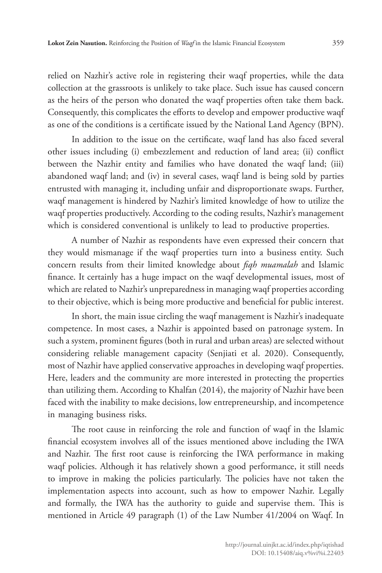relied on Nazhir's active role in registering their waqf properties, while the data collection at the grassroots is unlikely to take place. Such issue has caused concern as the heirs of the person who donated the waqf properties often take them back. Consequently, this complicates the efforts to develop and empower productive waqf as one of the conditions is a certificate issued by the National Land Agency (BPN).

In addition to the issue on the certificate, waqf land has also faced several other issues including (i) embezzlement and reduction of land area; (ii) conflict between the Nazhir entity and families who have donated the waqf land; (iii) abandoned waqf land; and (iv) in several cases, waqf land is being sold by parties entrusted with managing it, including unfair and disproportionate swaps. Further, waqf management is hindered by Nazhir's limited knowledge of how to utilize the waqf properties productively. According to the coding results, Nazhir's management which is considered conventional is unlikely to lead to productive properties.

A number of Nazhir as respondents have even expressed their concern that they would mismanage if the waqf properties turn into a business entity. Such concern results from their limited knowledge about *fiqh muamalah* and Islamic finance. It certainly has a huge impact on the waqf developmental issues, most of which are related to Nazhir's unpreparedness in managing waqf properties according to their objective, which is being more productive and beneficial for public interest.

In short, the main issue circling the waqf management is Nazhir's inadequate competence. In most cases, a Nazhir is appointed based on patronage system. In such a system, prominent figures (both in rural and urban areas) are selected without considering reliable management capacity (Senjiati et al. 2020). Consequently, most of Nazhir have applied conservative approaches in developing waqf properties. Here, leaders and the community are more interested in protecting the properties than utilizing them. According to Khalfan (2014), the majority of Nazhir have been faced with the inability to make decisions, low entrepreneurship, and incompetence in managing business risks.

The root cause in reinforcing the role and function of waqf in the Islamic financial ecosystem involves all of the issues mentioned above including the IWA and Nazhir. The first root cause is reinforcing the IWA performance in making waqf policies. Although it has relatively shown a good performance, it still needs to improve in making the policies particularly. The policies have not taken the implementation aspects into account, such as how to empower Nazhir. Legally and formally, the IWA has the authority to guide and supervise them. This is mentioned in Article 49 paragraph (1) of the Law Number 41/2004 on Waqf. In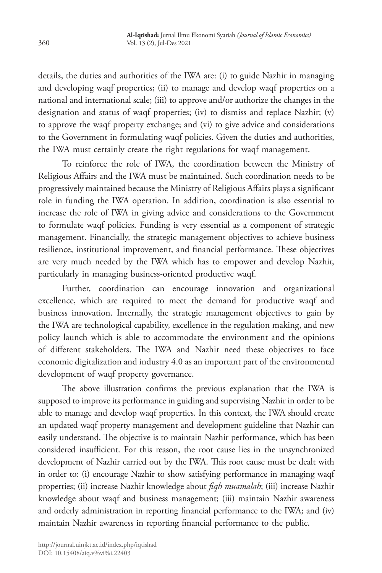details, the duties and authorities of the IWA are: (i) to guide Nazhir in managing and developing waqf properties; (ii) to manage and develop waqf properties on a national and international scale; (iii) to approve and/or authorize the changes in the designation and status of waqf properties; (iv) to dismiss and replace Nazhir; (v) to approve the waqf property exchange; and (vi) to give advice and considerations to the Government in formulating waqf policies. Given the duties and authorities, the IWA must certainly create the right regulations for waqf management.

To reinforce the role of IWA, the coordination between the Ministry of Religious Affairs and the IWA must be maintained. Such coordination needs to be progressively maintained because the Ministry of Religious Affairs plays a significant role in funding the IWA operation. In addition, coordination is also essential to increase the role of IWA in giving advice and considerations to the Government to formulate waqf policies. Funding is very essential as a component of strategic management. Financially, the strategic management objectives to achieve business resilience, institutional improvement, and financial performance. These objectives are very much needed by the IWA which has to empower and develop Nazhir, particularly in managing business-oriented productive waqf.

Further, coordination can encourage innovation and organizational excellence, which are required to meet the demand for productive waqf and business innovation. Internally, the strategic management objectives to gain by the IWA are technological capability, excellence in the regulation making, and new policy launch which is able to accommodate the environment and the opinions of different stakeholders. The IWA and Nazhir need these objectives to face economic digitalization and industry 4.0 as an important part of the environmental development of waqf property governance.

The above illustration confirms the previous explanation that the IWA is supposed to improve its performance in guiding and supervising Nazhir in order to be able to manage and develop waqf properties. In this context, the IWA should create an updated waqf property management and development guideline that Nazhir can easily understand. The objective is to maintain Nazhir performance, which has been considered insufficient. For this reason, the root cause lies in the unsynchronized development of Nazhir carried out by the IWA. This root cause must be dealt with in order to: (i) encourage Nazhir to show satisfying performance in managing waqf properties; (ii) increase Nazhir knowledge about *fiqh muamalah*; (iii) increase Nazhir knowledge about waqf and business management; (iii) maintain Nazhir awareness and orderly administration in reporting financial performance to the IWA; and (iv) maintain Nazhir awareness in reporting financial performance to the public.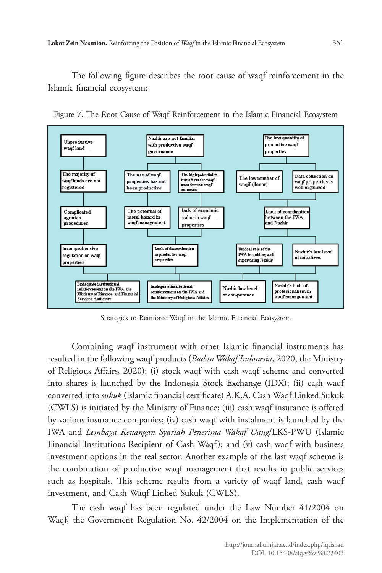The following figure describes the root cause of waqf reinforcement in the Islamic financial ecosystem:



Figure 7. The Root Cause of Waqf Reinforcement in the Islamic Financial Ecosystem

Strategies to Reinforce Waqf in the Islamic Financial Ecosystem

Combining waqf instrument with other Islamic financial instruments has resulted in the following waqf products (*Badan Wakaf Indonesia*, 2020, the Ministry of Religious Affairs, 2020): (i) stock waqf with cash waqf scheme and converted into shares is launched by the Indonesia Stock Exchange (IDX); (ii) cash waqf converted into *sukuk* (Islamic financial certificate) A.K.A. Cash Waqf Linked Sukuk (CWLS) is initiated by the Ministry of Finance; (iii) cash waqf insurance is offered by various insurance companies; (iv) cash waqf with instalment is launched by the IWA and *Lembaga Keuangan Syariah Penerima Wakaf Uang*/LKS-PWU (Islamic Financial Institutions Recipient of Cash Waqf); and (v) cash waqf with business investment options in the real sector. Another example of the last waqf scheme is the combination of productive waqf management that results in public services such as hospitals. This scheme results from a variety of waqf land, cash waqf investment, and Cash Waqf Linked Sukuk (CWLS).

The cash waqf has been regulated under the Law Number 41/2004 on Waqf, the Government Regulation No. 42/2004 on the Implementation of the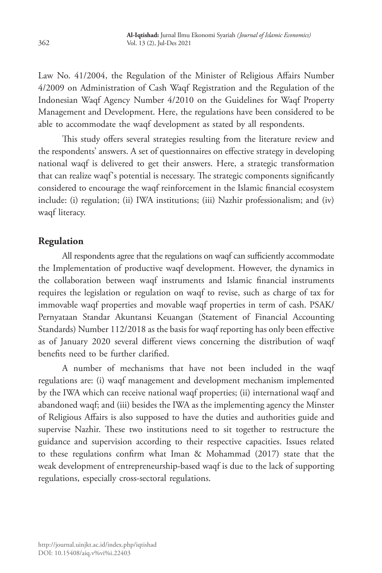Law No. 41/2004, the Regulation of the Minister of Religious Affairs Number 4/2009 on Administration of Cash Waqf Registration and the Regulation of the Indonesian Waqf Agency Number 4/2010 on the Guidelines for Waqf Property Management and Development. Here, the regulations have been considered to be able to accommodate the waqf development as stated by all respondents.

This study offers several strategies resulting from the literature review and the respondents' answers. A set of questionnaires on effective strategy in developing national waqf is delivered to get their answers. Here, a strategic transformation that can realize waqf's potential is necessary. The strategic components significantly considered to encourage the waqf reinforcement in the Islamic financial ecosystem include: (i) regulation; (ii) IWA institutions; (iii) Nazhir professionalism; and (iv) waqf literacy.

## **Regulation**

All respondents agree that the regulations on waqf can sufficiently accommodate the Implementation of productive waqf development. However, the dynamics in the collaboration between waqf instruments and Islamic financial instruments requires the legislation or regulation on waqf to revise, such as charge of tax for immovable waqf properties and movable waqf properties in term of cash. PSAK/ Pernyataan Standar Akuntansi Keuangan (Statement of Financial Accounting Standards) Number 112/2018 as the basis for waqf reporting has only been effective as of January 2020 several different views concerning the distribution of waqf benefits need to be further clarified.

A number of mechanisms that have not been included in the waqf regulations are: (i) waqf management and development mechanism implemented by the IWA which can receive national waqf properties; (ii) international waqf and abandoned waqf; and (iii) besides the IWA as the implementing agency the Minster of Religious Affairs is also supposed to have the duties and authorities guide and supervise Nazhir. These two institutions need to sit together to restructure the guidance and supervision according to their respective capacities. Issues related to these regulations confirm what Iman & Mohammad (2017) state that the weak development of entrepreneurship-based waqf is due to the lack of supporting regulations, especially cross-sectoral regulations.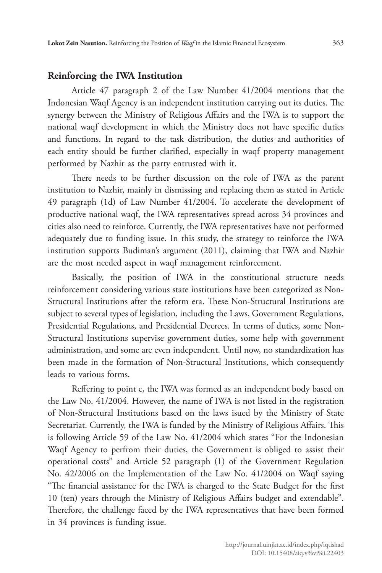### **Reinforcing the IWA Institution**

Article 47 paragraph 2 of the Law Number 41/2004 mentions that the Indonesian Waqf Agency is an independent institution carrying out its duties. The synergy between the Ministry of Religious Affairs and the IWA is to support the national waqf development in which the Ministry does not have specific duties and functions. In regard to the task distribution, the duties and authorities of each entity should be further clarified, especially in waqf property management performed by Nazhir as the party entrusted with it.

There needs to be further discussion on the role of IWA as the parent institution to Nazhir, mainly in dismissing and replacing them as stated in Article 49 paragraph (1d) of Law Number 41/2004. To accelerate the development of productive national waqf, the IWA representatives spread across 34 provinces and cities also need to reinforce. Currently, the IWA representatives have not performed adequately due to funding issue. In this study, the strategy to reinforce the IWA institution supports Budiman's argument (2011), claiming that IWA and Nazhir are the most needed aspect in waqf management reinforcement.

Basically, the position of IWA in the constitutional structure needs reinforcement considering various state institutions have been categorized as Non-Structural Institutions after the reform era. These Non-Structural Institutions are subject to several types of legislation, including the Laws, Government Regulations, Presidential Regulations, and Presidential Decrees. In terms of duties, some Non-Structural Institutions supervise government duties, some help with government administration, and some are even independent. Until now, no standardization has been made in the formation of Non-Structural Institutions, which consequently leads to various forms.

Reffering to point c, the IWA was formed as an independent body based on the Law No. 41/2004. However, the name of IWA is not listed in the registration of Non-Structural Institutions based on the laws isued by the Ministry of State Secretariat. Currently, the IWA is funded by the Ministry of Religious Affairs. This is following Article 59 of the Law No. 41/2004 which states "For the Indonesian Waqf Agency to perfrom their duties, the Government is obliged to assist their operational costs" and Article 52 paragraph (1) of the Government Regulation No. 42/2006 on the Implementation of the Law No. 41/2004 on Waqf saying "The financial assistance for the IWA is charged to the State Budget for the first 10 (ten) years through the Ministry of Religious Affairs budget and extendable". Therefore, the challenge faced by the IWA representatives that have been formed in 34 provinces is funding issue.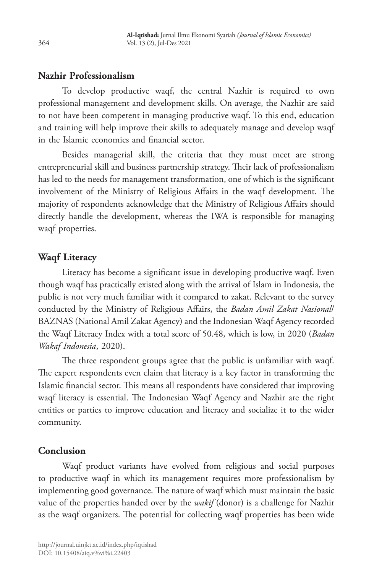## **Nazhir Professionalism**

To develop productive waqf, the central Nazhir is required to own professional management and development skills. On average, the Nazhir are said to not have been competent in managing productive waqf. To this end, education and training will help improve their skills to adequately manage and develop waqf in the Islamic economics and financial sector.

Besides managerial skill, the criteria that they must meet are strong entrepreneurial skill and business partnership strategy. Their lack of professionalism has led to the needs for management transformation, one of which is the significant involvement of the Ministry of Religious Affairs in the waqf development. The majority of respondents acknowledge that the Ministry of Religious Affairs should directly handle the development, whereas the IWA is responsible for managing waqf properties.

## **Waqf Literacy**

Literacy has become a significant issue in developing productive waqf. Even though waqf has practically existed along with the arrival of Islam in Indonesia, the public is not very much familiar with it compared to zakat. Relevant to the survey conducted by the Ministry of Religious Affairs, the *Badan Amil Zakat Nasional*/ BAZNAS (National Amil Zakat Agency) and the Indonesian Waqf Agency recorded the Waqf Literacy Index with a total score of 50.48, which is low, in 2020 (*Badan Wakaf Indonesia*, 2020).

The three respondent groups agree that the public is unfamiliar with waqf. The expert respondents even claim that literacy is a key factor in transforming the Islamic financial sector. This means all respondents have considered that improving waqf literacy is essential. The Indonesian Waqf Agency and Nazhir are the right entities or parties to improve education and literacy and socialize it to the wider community.

## **Conclusion**

Waqf product variants have evolved from religious and social purposes to productive waqf in which its management requires more professionalism by implementing good governance. The nature of waqf which must maintain the basic value of the properties handed over by the *wakif* (donor) is a challenge for Nazhir as the waqf organizers. The potential for collecting waqf properties has been wide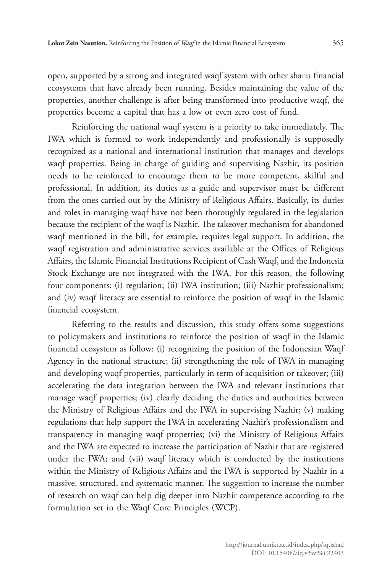open, supported by a strong and integrated waqf system with other sharia financial ecosystems that have already been running. Besides maintaining the value of the properties, another challenge is after being transformed into productive waqf, the properties become a capital that has a low or even zero cost of fund.

Reinforcing the national waqf system is a priority to take immediately. The IWA which is formed to work independently and professionally is supposedly recognized as a national and international institution that manages and develops waqf properties. Being in charge of guiding and supervising Nazhir, its position needs to be reinforced to encourage them to be more competent, skilful and professional. In addition, its duties as a guide and supervisor must be different from the ones carried out by the Ministry of Religious Affairs. Basically, its duties and roles in managing waqf have not been thoroughly regulated in the legislation because the recipient of the waqf is Nazhir. The takeover mechanism for abandoned waqf mentioned in the bill, for example, requires legal support. In addition, the waqf registration and administrative services available at the Offices of Religious Affairs, the Islamic Financial Institutions Recipient of Cash Waqf, and the Indonesia Stock Exchange are not integrated with the IWA. For this reason, the following four components: (i) regulation; (ii) IWA institution; (iii) Nazhir professionalism; and (iv) waqf literacy are essential to reinforce the position of waqf in the Islamic financial ecosystem.

Referring to the results and discussion, this study offers some suggestions to policymakers and institutions to reinforce the position of waqf in the Islamic financial ecosystem as follow: (i) recognizing the position of the Indonesian Waqf Agency in the national structure; (ii) strengthening the role of IWA in managing and developing waqf properties, particularly in term of acquisition or takeover; (iii) accelerating the data integration between the IWA and relevant institutions that manage waqf properties; (iv) clearly deciding the duties and authorities between the Ministry of Religious Affairs and the IWA in supervising Nazhir; (v) making regulations that help support the IWA in accelerating Nazhir's professionalism and transparency in managing waqf properties; (vi) the Ministry of Religious Affairs and the IWA are expected to increase the participation of Nazhir that are registered under the IWA; and (vii) waqf literacy which is conducted by the institutions within the Ministry of Religious Affairs and the IWA is supported by Nazhir in a massive, structured, and systematic manner. The suggestion to increase the number of research on waqf can help dig deeper into Nazhir competence according to the formulation set in the Waqf Core Principles (WCP).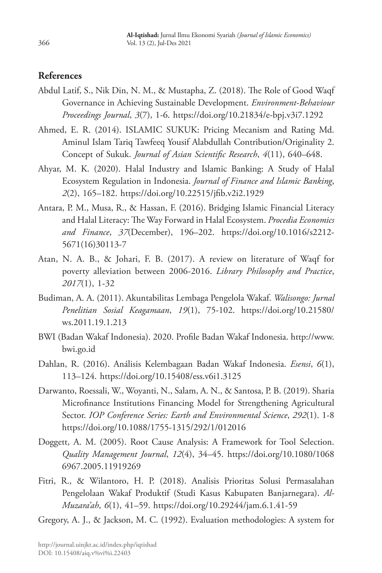## **References**

- Abdul Latif, S., Nik Din, N. M., & Mustapha, Z. (2018). The Role of Good Waqf Governance in Achieving Sustainable Development. *Environment-Behaviour Proceedings Journal*, *3*(7), 1-6. https://doi.org/10.21834/e-bpj.v3i7.1292
- Ahmed, E. R. (2014). ISLAMIC SUKUK: Pricing Mecanism and Rating Md. Aminul Islam Tariq Tawfeeq Yousif Alabdullah Contribution/Originality 2. Concept of Sukuk. *Journal of Asian Scientific Research*, *4*(11), 640–648.
- Ahyar, M. K. (2020). Halal Industry and Islamic Banking: A Study of Halal Ecosystem Regulation in Indonesia. *Journal of Finance and Islamic Banking*, *2*(2), 165–182. https://doi.org/10.22515/jfib.v2i2.1929
- Antara, P. M., Musa, R., & Hassan, F. (2016). Bridging Islamic Financial Literacy and Halal Literacy: The Way Forward in Halal Ecosystem. *Procedia Economics and Finance*, *37*(December), 196–202. https://doi.org/10.1016/s2212- 5671(16)30113-7
- Atan, N. A. B., & Johari, F. B. (2017). A review on literature of Waqf for poverty alleviation between 2006-2016. *Library Philosophy and Practice*, *2017*(1), 1-32
- Budiman, A. A. (2011). Akuntabilitas Lembaga Pengelola Wakaf. *Walisongo: Jurnal Penelitian Sosial Keagamaan*, *19*(1), 75-102. https://doi.org/10.21580/ ws.2011.19.1.213
- BWI (Badan Wakaf Indonesia). 2020. Profile Badan Wakaf Indonesia. http://www. bwi.go.id
- Dahlan, R. (2016). Análisis Kelembagaan Badan Wakaf Indonesia. *Esensi*, *6*(1), 113–124. https://doi.org/10.15408/ess.v6i1.3125
- Darwanto, Roessali, W., Woyanti, N., Salam, A. N., & Santosa, P. B. (2019). Sharia Microfinance Institutions Financing Model for Strengthening Agricultural Sector. *IOP Conference Series: Earth and Environmental Science*, *292*(1). 1-8 https://doi.org/10.1088/1755-1315/292/1/012016
- Doggett, A. M. (2005). Root Cause Analysis: A Framework for Tool Selection. *Quality Management Journal*, *12*(4), 34–45. https://doi.org/10.1080/1068 6967.2005.11919269
- Fitri, R., & Wilantoro, H. P. (2018). Analisis Prioritas Solusi Permasalahan Pengelolaan Wakaf Produktif (Studi Kasus Kabupaten Banjarnegara). *Al-Muzara'ah*, *6*(1), 41–59. https://doi.org/10.29244/jam.6.1.41-59

Gregory, A. J., & Jackson, M. C. (1992). Evaluation methodologies: A system for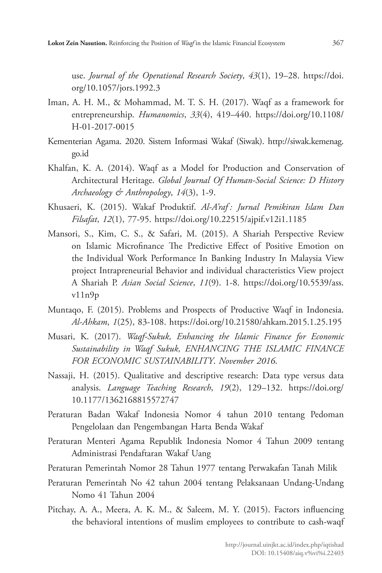use. *Journal of the Operational Research Society*, *43*(1), 19–28. https://doi. org/10.1057/jors.1992.3

- Iman, A. H. M., & Mohammad, M. T. S. H. (2017). Waqf as a framework for entrepreneurship. *Humanomics*, *33*(4), 419–440. https://doi.org/10.1108/ H-01-2017-0015
- Kementerian Agama. 2020. Sistem Informasi Wakaf (Siwak). http://siwak.kemenag. go.id
- Khalfan, K. A. (2014). Waqf as a Model for Production and Conservation of Architectural Heritage. *Global Journal Of Human-Social Science: D History Archaeology & Anthropology*, *14*(3), 1-9.
- Khusaeri, K. (2015). Wakaf Produktif. *Al-A'raf : Jurnal Pemikiran Islam Dan Filsafat*, *12*(1), 77-95. https://doi.org/10.22515/ajpif.v12i1.1185
- Mansori, S., Kim, C. S., & Safari, M. (2015). A Shariah Perspective Review on Islamic Microfinance The Predictive Effect of Positive Emotion on the Individual Work Performance In Banking Industry In Malaysia View project Intrapreneurial Behavior and individual characteristics View project A Shariah P. *Asian Social Science*, *11*(9). 1-8. https://doi.org/10.5539/ass. v11n9p
- Muntaqo, F. (2015). Problems and Prospects of Productive Waqf in Indonesia. *Al-Ahkam*, *1*(25), 83-108. https://doi.org/10.21580/ahkam.2015.1.25.195
- Musari, K. (2017). *Waqf-Sukuk, Enhancing the Islamic Finance for Economic Sustainability in Waqf Sukuk, ENHANCING THE ISLAMIC FINANCE FOR ECONOMIC SUSTAINABILITY*. *November 2016*.
- Nassaji, H. (2015). Qualitative and descriptive research: Data type versus data analysis. *Language Teaching Research*, *19*(2), 129–132. https://doi.org/ 10.1177/1362168815572747
- Peraturan Badan Wakaf Indonesia Nomor 4 tahun 2010 tentang Pedoman Pengelolaan dan Pengembangan Harta Benda Wakaf
- Peraturan Menteri Agama Republik Indonesia Nomor 4 Tahun 2009 tentang Administrasi Pendaftaran Wakaf Uang
- Peraturan Pemerintah Nomor 28 Tahun 1977 tentang Perwakafan Tanah Milik
- Peraturan Pemerintah No 42 tahun 2004 tentang Pelaksanaan Undang-Undang Nomo 41 Tahun 2004
- Pitchay, A. A., Meera, A. K. M., & Saleem, M. Y. (2015). Factors influencing the behavioral intentions of muslim employees to contribute to cash-waqf